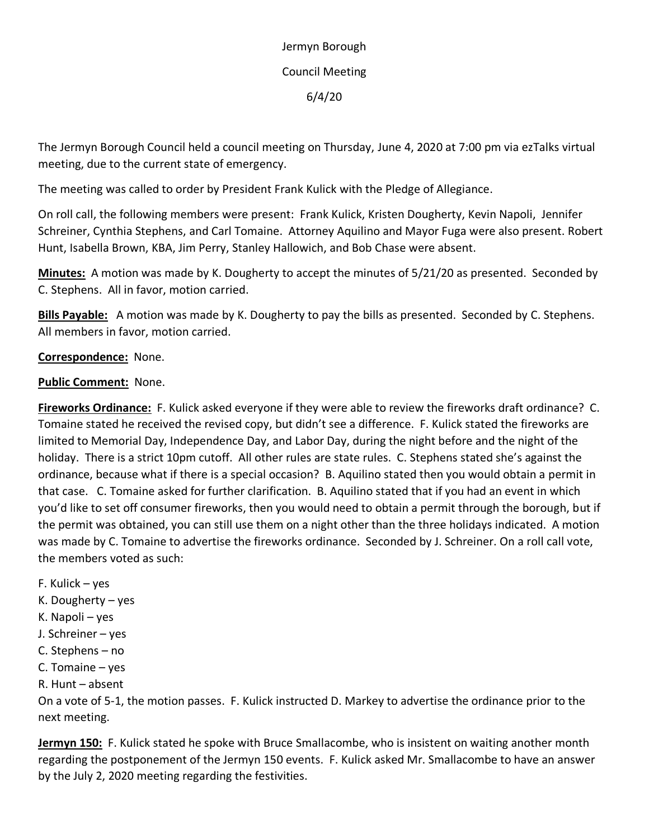Jermyn Borough Council Meeting 6/4/20

The Jermyn Borough Council held a council meeting on Thursday, June 4, 2020 at 7:00 pm via ezTalks virtual meeting, due to the current state of emergency.

The meeting was called to order by President Frank Kulick with the Pledge of Allegiance.

On roll call, the following members were present: Frank Kulick, Kristen Dougherty, Kevin Napoli, Jennifer Schreiner, Cynthia Stephens, and Carl Tomaine. Attorney Aquilino and Mayor Fuga were also present. Robert Hunt, Isabella Brown, KBA, Jim Perry, Stanley Hallowich, and Bob Chase were absent.

**Minutes:** A motion was made by K. Dougherty to accept the minutes of 5/21/20 as presented. Seconded by C. Stephens. All in favor, motion carried.

**Bills Payable:** A motion was made by K. Dougherty to pay the bills as presented. Seconded by C. Stephens. All members in favor, motion carried.

## **Correspondence:** None.

## **Public Comment:** None.

**Fireworks Ordinance:** F. Kulick asked everyone if they were able to review the fireworks draft ordinance? C. Tomaine stated he received the revised copy, but didn't see a difference. F. Kulick stated the fireworks are limited to Memorial Day, Independence Day, and Labor Day, during the night before and the night of the holiday. There is a strict 10pm cutoff. All other rules are state rules. C. Stephens stated she's against the ordinance, because what if there is a special occasion? B. Aquilino stated then you would obtain a permit in that case. C. Tomaine asked for further clarification. B. Aquilino stated that if you had an event in which you'd like to set off consumer fireworks, then you would need to obtain a permit through the borough, but if the permit was obtained, you can still use them on a night other than the three holidays indicated. A motion was made by C. Tomaine to advertise the fireworks ordinance. Seconded by J. Schreiner. On a roll call vote, the members voted as such:

- F. Kulick yes
- K. Dougherty yes
- K. Napoli yes
- J. Schreiner yes
- C. Stephens no
- C. Tomaine yes
- R. Hunt absent

On a vote of 5-1, the motion passes. F. Kulick instructed D. Markey to advertise the ordinance prior to the next meeting.

**Jermyn 150:** F. Kulick stated he spoke with Bruce Smallacombe, who is insistent on waiting another month regarding the postponement of the Jermyn 150 events. F. Kulick asked Mr. Smallacombe to have an answer by the July 2, 2020 meeting regarding the festivities.